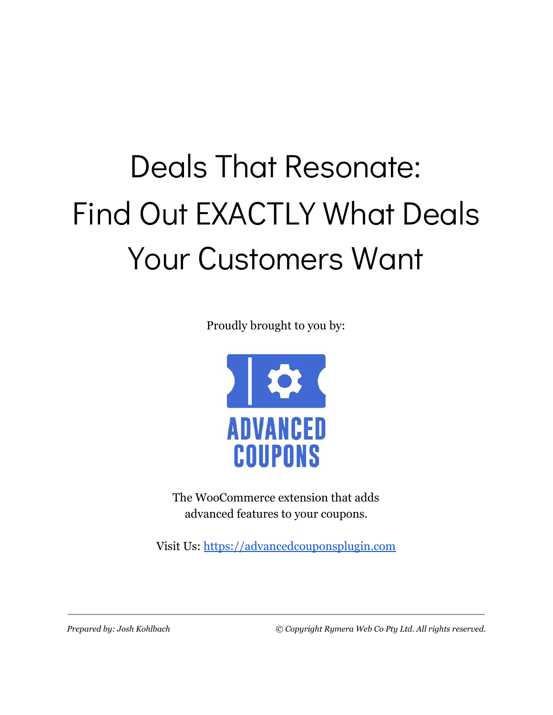# Deals That Resonate: Find Out EXACTLY What Deals Your Customers Want

Proudly brought to you by:



The WooCommerce extension that adds advanced features to your coupons.

Visit Us: [https://advancedcouponsplugin.com](https://advancedcouponsplugin.com/?utm_source=AdvancedCoupons&utm_medium=PDF&utm_campaign=WholesaleSuite&utm_content=DealsThatResonatePDF)

*Prepared by: Josh Kohlbach © Copyright Rymera Web Co Pty Ltd. All rights reserved.*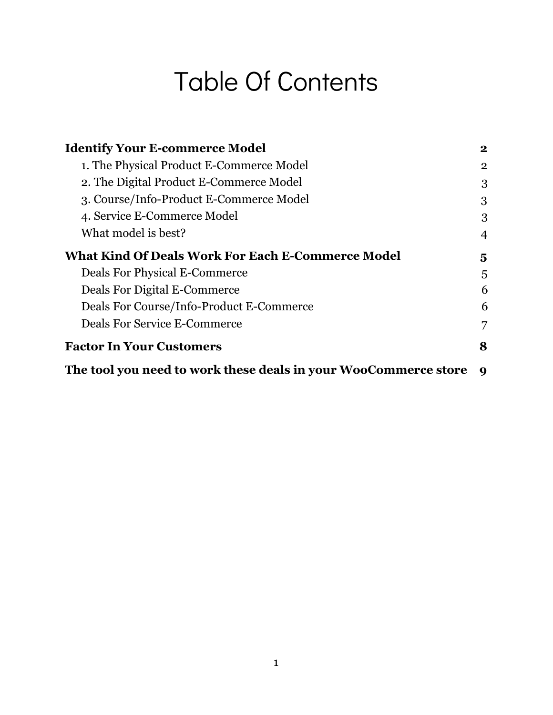### Table Of Contents

| <b>Identify Your E-commerce Model</b>                           | $\bf{2}$       |
|-----------------------------------------------------------------|----------------|
| 1. The Physical Product E-Commerce Model                        | $\overline{2}$ |
| 2. The Digital Product E-Commerce Model                         | 3              |
| 3. Course/Info-Product E-Commerce Model                         | 3              |
| 4. Service E-Commerce Model                                     | 3              |
| What model is best?                                             | 4              |
| <b>What Kind Of Deals Work For Each E-Commerce Model</b>        | 5              |
| <b>Deals For Physical E-Commerce</b>                            | 5              |
| Deals For Digital E-Commerce                                    | 6              |
| Deals For Course/Info-Product E-Commerce                        | 6              |
| <b>Deals For Service E-Commerce</b>                             | $\overline{7}$ |
| <b>Factor In Your Customers</b>                                 | 8              |
| The tool you need to work these deals in your WooCommerce store | 9              |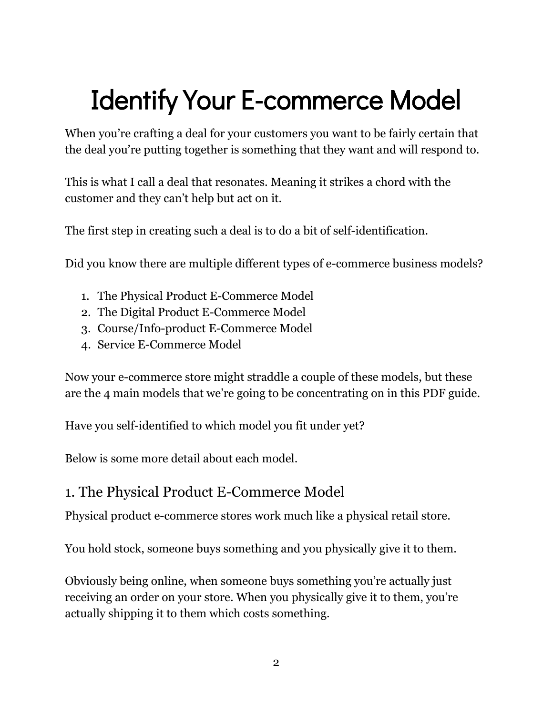# <span id="page-2-0"></span>Identify Your E-commerce Model

When you're crafting a deal for your customers you want to be fairly certain that the deal you're putting together is something that they want and will respond to.

This is what I call a deal that resonates. Meaning it strikes a chord with the customer and they can't help but act on it.

The first step in creating such a deal is to do a bit of self-identification.

Did you know there are multiple different types of e-commerce business models?

- 1. The Physical Product E-Commerce Model
- 2. The Digital Product E-Commerce Model
- 3. Course/Info-product E-Commerce Model
- 4. Service E-Commerce Model

Now your e-commerce store might straddle a couple of these models, but these are the 4 main models that we're going to be concentrating on in this PDF guide.

Have you self-identified to which model you fit under yet?

<span id="page-2-1"></span>Below is some more detail about each model.

#### 1. The Physical Product E-Commerce Model

Physical product e-commerce stores work much like a physical retail store.

You hold stock, someone buys something and you physically give it to them.

Obviously being online, when someone buys something you're actually just receiving an order on your store. When you physically give it to them, you're actually shipping it to them which costs something.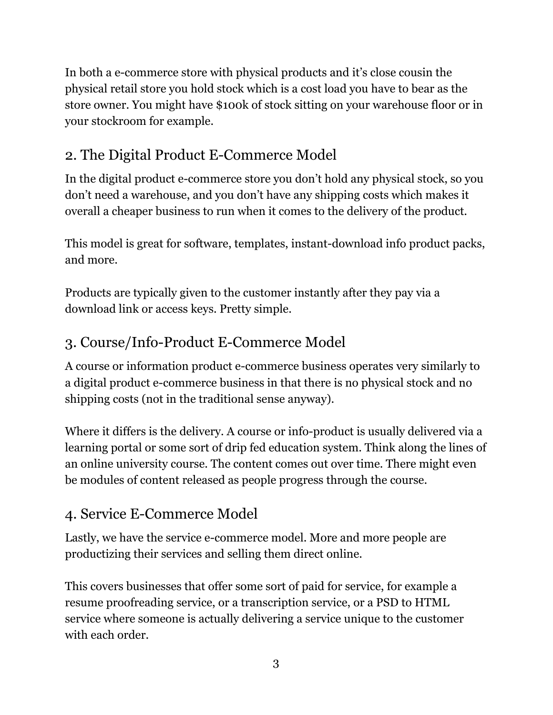In both a e-commerce store with physical products and it's close cousin the physical retail store you hold stock which is a cost load you have to bear as the store owner. You might have \$100k of stock sitting on your warehouse floor or in your stockroom for example.

### <span id="page-3-0"></span>2. The Digital Product E-Commerce Model

In the digital product e-commerce store you don't hold any physical stock, so you don't need a warehouse, and you don't have any shipping costs which makes it overall a cheaper business to run when it comes to the delivery of the product.

This model is great for software, templates, instant-download info product packs, and more.

Products are typically given to the customer instantly after they pay via a download link or access keys. Pretty simple.

### <span id="page-3-1"></span>3. Course/Info-Product E-Commerce Model

A course or information product e-commerce business operates very similarly to a digital product e-commerce business in that there is no physical stock and no shipping costs (not in the traditional sense anyway).

Where it differs is the delivery. A course or info-product is usually delivered via a learning portal or some sort of drip fed education system. Think along the lines of an online university course. The content comes out over time. There might even be modules of content released as people progress through the course.

### <span id="page-3-2"></span>4. Service E-Commerce Model

Lastly, we have the service e-commerce model. More and more people are productizing their services and selling them direct online.

This covers businesses that offer some sort of paid for service, for example a resume proofreading service, or a transcription service, or a PSD to HTML service where someone is actually delivering a service unique to the customer with each order.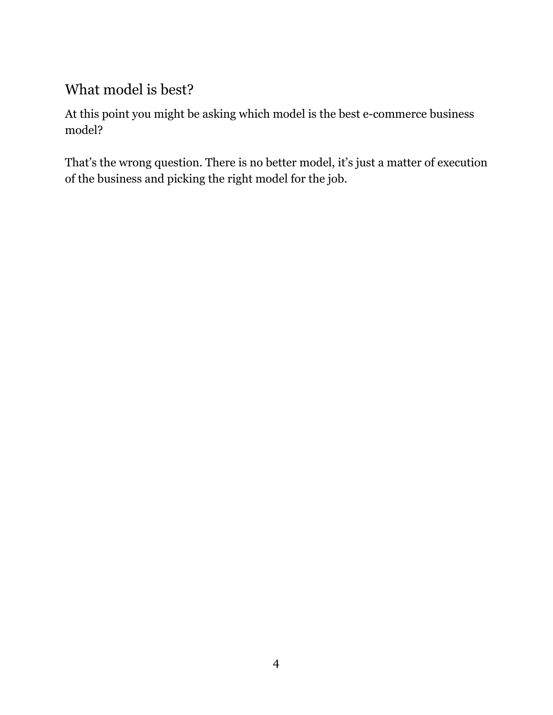### <span id="page-4-0"></span>What model is best?

At this point you might be asking which model is the best e-commerce business model?

That's the wrong question. There is no better model, it's just a matter of execution of the business and picking the right model for the job.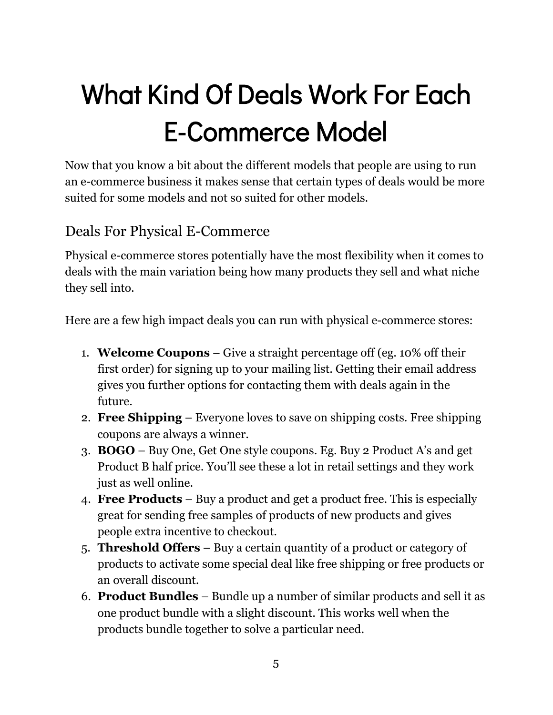# <span id="page-5-0"></span>What Kind Of Deals Work For Each E-Commerce Model

Now that you know a bit about the different models that people are using to run an e-commerce business it makes sense that certain types of deals would be more suited for some models and not so suited for other models.

#### <span id="page-5-1"></span>Deals For Physical E-Commerce

Physical e-commerce stores potentially have the most flexibility when it comes to deals with the main variation being how many products they sell and what niche they sell into.

Here are a few high impact deals you can run with physical e-commerce stores:

- 1. **Welcome Coupons** Give a straight percentage off (eg. 10% off their first order) for signing up to your mailing list. Getting their email address gives you further options for contacting them with deals again in the future.
- 2. **Free Shipping** Everyone loves to save on shipping costs. Free shipping coupons are always a winner.
- 3. **BOGO** Buy One, Get One style coupons. Eg. Buy 2 Product A's and get Product B half price. You'll see these a lot in retail settings and they work just as well online.
- 4. **Free Products** Buy a product and get a product free. This is especially great for sending free samples of products of new products and gives people extra incentive to checkout.
- 5. **Threshold Offers** Buy a certain quantity of a product or category of products to activate some special deal like free shipping or free products or an overall discount.
- 6. **Product Bundles** Bundle up a number of similar products and sell it as one product bundle with a slight discount. This works well when the products bundle together to solve a particular need.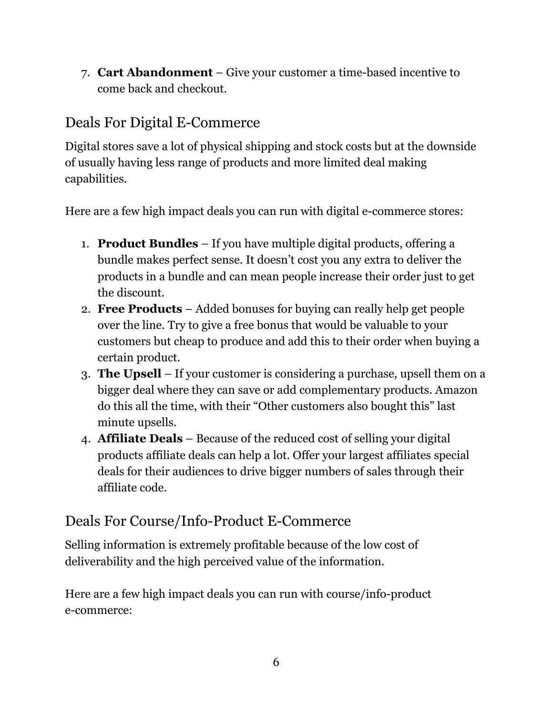7. **Cart Abandonment** – Give your customer a time-based incentive to come back and checkout.

### <span id="page-6-0"></span>Deals For Digital E-Commerce

Digital stores save a lot of physical shipping and stock costs but at the downside of usually having less range of products and more limited deal making capabilities.

Here are a few high impact deals you can run with digital e-commerce stores:

- 1. **Product Bundles** If you have multiple digital products, offering a bundle makes perfect sense. It doesn't cost you any extra to deliver the products in a bundle and can mean people increase their order just to get the discount.
- 2. **Free Products** Added bonuses for buying can really help get people over the line. Try to give a free bonus that would be valuable to your customers but cheap to produce and add this to their order when buying a certain product.
- 3. **The Upsell** If your customer is considering a purchase, upsell them on a bigger deal where they can save or add complementary products. Amazon do this all the time, with their "Other customers also bought this" last minute upsells.
- 4. **Affiliate Deals** Because of the reduced cost of selling your digital products affiliate deals can help a lot. Offer your largest affiliates special deals for their audiences to drive bigger numbers of sales through their affiliate code.

### <span id="page-6-1"></span>Deals For Course/Info-Product E-Commerce

Selling information is extremely profitable because of the low cost of deliverability and the high perceived value of the information.

Here are a few high impact deals you can run with course/info-product e-commerce: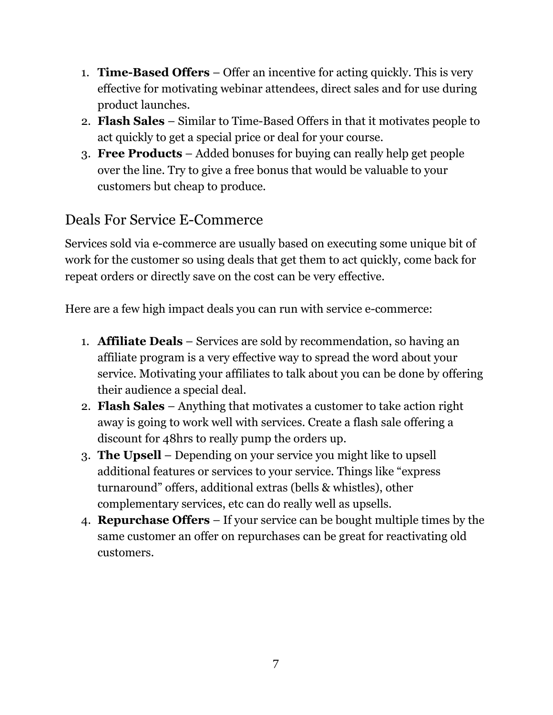- 1. **Time-Based Offers** Offer an incentive for acting quickly. This is very effective for motivating webinar attendees, direct sales and for use during product launches.
- 2. **Flash Sales** Similar to Time-Based Offers in that it motivates people to act quickly to get a special price or deal for your course.
- 3. **Free Products** Added bonuses for buying can really help get people over the line. Try to give a free bonus that would be valuable to your customers but cheap to produce.

#### <span id="page-7-0"></span>Deals For Service E-Commerce

Services sold via e-commerce are usually based on executing some unique bit of work for the customer so using deals that get them to act quickly, come back for repeat orders or directly save on the cost can be very effective.

Here are a few high impact deals you can run with service e-commerce:

- 1. **Affiliate Deals** Services are sold by recommendation, so having an affiliate program is a very effective way to spread the word about your service. Motivating your affiliates to talk about you can be done by offering their audience a special deal.
- 2. **Flash Sales** Anything that motivates a customer to take action right away is going to work well with services. Create a flash sale offering a discount for 48hrs to really pump the orders up.
- 3. **The Upsell** Depending on your service you might like to upsell additional features or services to your service. Things like "express turnaround" offers, additional extras (bells & whistles), other complementary services, etc can do really well as upsells.
- 4. **Repurchase Offers** If your service can be bought multiple times by the same customer an offer on repurchases can be great for reactivating old customers.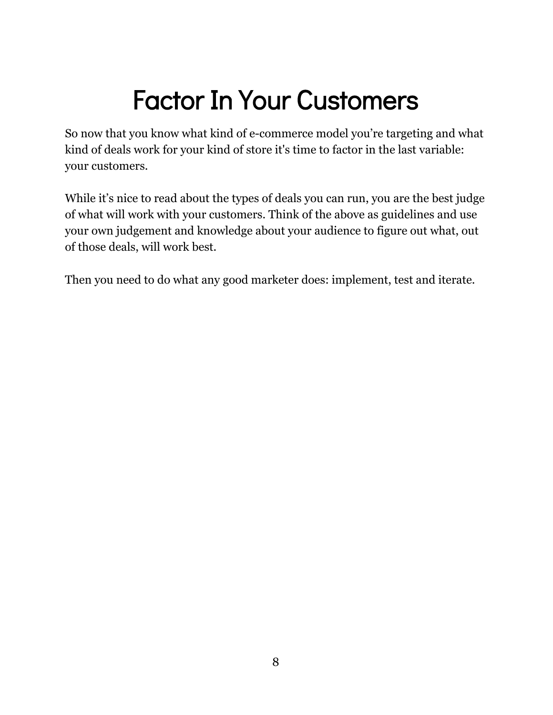### Factor In Your Customers

<span id="page-8-0"></span>So now that you know what kind of e-commerce model you're targeting and what kind of deals work for your kind of store it's time to factor in the last variable: your customers.

While it's nice to read about the types of deals you can run, you are the best judge of what will work with your customers. Think of the above as guidelines and use your own judgement and knowledge about your audience to figure out what, out of those deals, will work best.

Then you need to do what any good marketer does: implement, test and iterate.